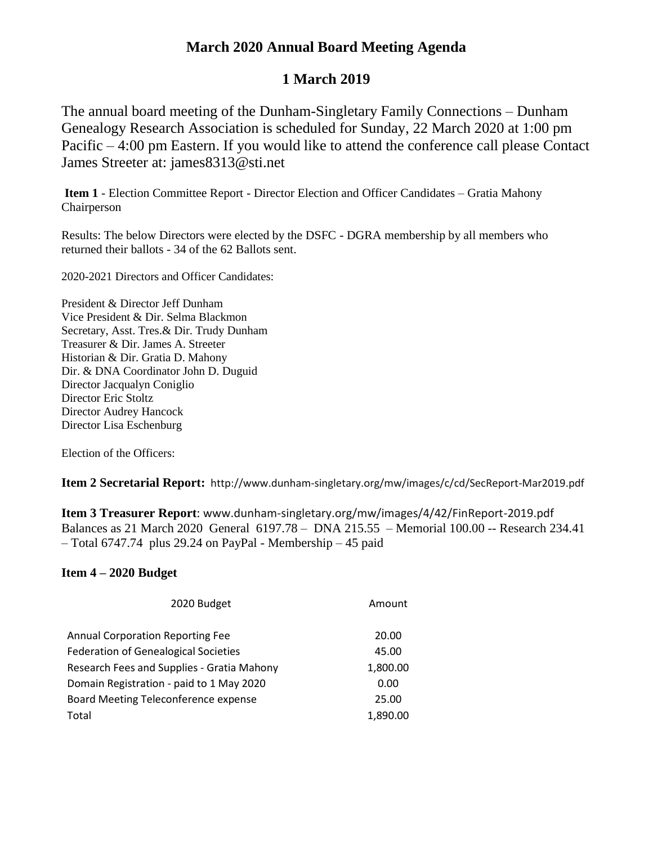## **March 2020 Annual Board Meeting Agenda**

# **1 March 2019**

The annual board meeting of the Dunham-Singletary Family Connections – Dunham Genealogy Research Association is scheduled for Sunday, 22 March 2020 at 1:00 pm Pacific – 4:00 pm Eastern. If you would like to attend the conference call please Contact James Streeter at: james8313@sti.net

**Item 1** - Election Committee Report - Director Election and Officer Candidates – Gratia Mahony Chairperson

Results: The below Directors were elected by the DSFC - DGRA membership by all members who returned their ballots - 34 of the 62 Ballots sent.

2020-2021 Directors and Officer Candidates:

President & Director Jeff Dunham Vice President & Dir. Selma Blackmon Secretary, Asst. Tres.& Dir. Trudy Dunham Treasurer & Dir. James A. Streeter Historian & Dir. Gratia D. Mahony Dir. & DNA Coordinator John D. Duguid Director Jacqualyn Coniglio Director Eric Stoltz Director Audrey Hancock Director Lisa Eschenburg

Election of the Officers:

**Item 2 Secretarial Report:** http://www.dunham-singletary.org/mw/images/c/cd/SecReport-Mar2019.pdf

**Item 3 Treasurer Report**: www.dunham-singletary.org/mw/images/4/42/FinReport-2019.pdf Balances as 21 March 2020 General 6197.78 – DNA 215.55 – Memorial 100.00 -- Research 234.41 – Total 6747.74 plus 29.24 on PayPal - Membership – 45 paid

### **Item 4 – 2020 Budget**

| 2020 Budget                                 | Amount   |
|---------------------------------------------|----------|
| <b>Annual Corporation Reporting Fee</b>     | 20.00    |
| <b>Federation of Genealogical Societies</b> | 45.00    |
| Research Fees and Supplies - Gratia Mahony  | 1,800.00 |
| Domain Registration - paid to 1 May 2020    | 0.00     |
| Board Meeting Teleconference expense        | 25.00    |
| Total                                       | 1,890.00 |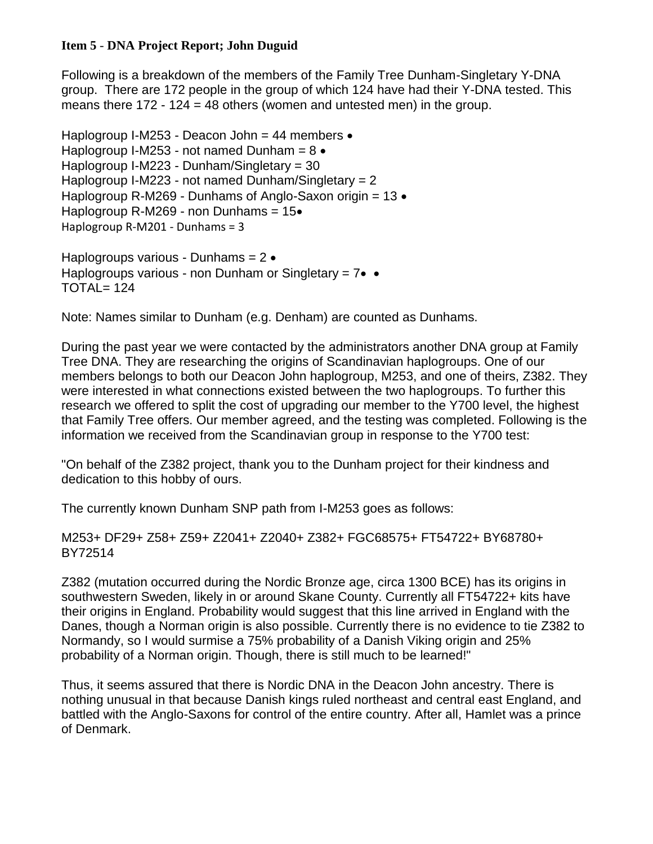### **Item 5** - **DNA Project Report; John Duguid**

Following is a breakdown of the members of the Family Tree Dunham-Singletary Y-DNA group. There are 172 people in the group of which 124 have had their Y-DNA tested. This means there  $172 - 124 = 48$  others (women and untested men) in the group.

Haplogroup I-M253 - Deacon John = 44 members  $\bullet$ Haplogroup I-M253 - not named Dunham =  $8 \cdot$ Haplogroup I-M223 - Dunham/Singletary = 30 Haplogroup I-M223 - not named Dunham/Singletary = 2 Haplogroup R-M269 - Dunhams of Anglo-Saxon origin =  $13 \cdot$ Haplogroup R-M269 - non Dunhams =  $15\bullet$ Haplogroup R-M201 - Dunhams = 3

Haplogroups various - Dunhams =  $2 \cdot$ Haplogroups various - non Dunham or Singletary =  $7 \cdot \cdot \cdot$ TOTAL= 124

Note: Names similar to Dunham (e.g. Denham) are counted as Dunhams.

During the past year we were contacted by the administrators another DNA group at Family Tree DNA. They are researching the origins of Scandinavian haplogroups. One of our members belongs to both our Deacon John haplogroup, M253, and one of theirs, Z382. They were interested in what connections existed between the two haplogroups. To further this research we offered to split the cost of upgrading our member to the Y700 level, the highest that Family Tree offers. Our member agreed, and the testing was completed. Following is the information we received from the Scandinavian group in response to the Y700 test:

"On behalf of the Z382 project, thank you to the Dunham project for their kindness and dedication to this hobby of ours.

The currently known Dunham SNP path from I-M253 goes as follows:

M253+ DF29+ Z58+ Z59+ Z2041+ Z2040+ Z382+ FGC68575+ FT54722+ BY68780+ BY72514

Z382 (mutation occurred during the Nordic Bronze age, circa 1300 BCE) has its origins in southwestern Sweden, likely in or around Skane County. Currently all FT54722+ kits have their origins in England. Probability would suggest that this line arrived in England with the Danes, though a Norman origin is also possible. Currently there is no evidence to tie Z382 to Normandy, so I would surmise a 75% probability of a Danish Viking origin and 25% probability of a Norman origin. Though, there is still much to be learned!"

Thus, it seems assured that there is Nordic DNA in the Deacon John ancestry. There is nothing unusual in that because Danish kings ruled northeast and central east England, and battled with the Anglo-Saxons for control of the entire country. After all, Hamlet was a prince of Denmark.